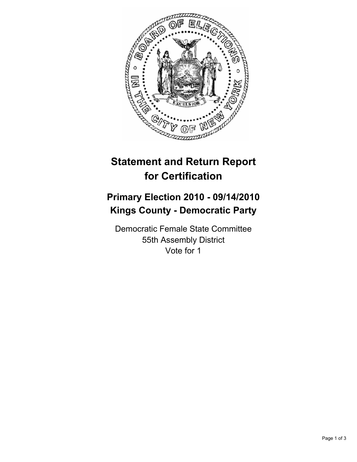

## **Statement and Return Report for Certification**

## **Primary Election 2010 - 09/14/2010 Kings County - Democratic Party**

Democratic Female State Committee 55th Assembly District Vote for 1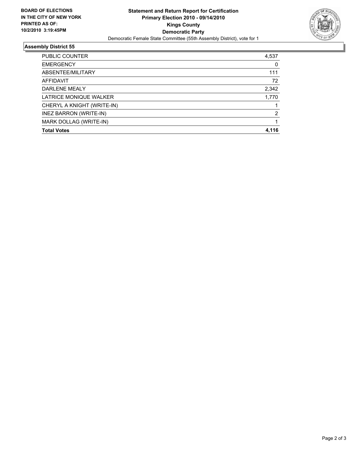

## **Assembly District 55**

| PUBLIC COUNTER             | 4,537 |
|----------------------------|-------|
| <b>EMERGENCY</b>           | 0     |
| ABSENTEE/MILITARY          | 111   |
| AFFIDAVIT                  | 72    |
| DARLENE MEALY              | 2,342 |
| LATRICE MONIQUE WALKER     | 1,770 |
| CHERYL A KNIGHT (WRITE-IN) |       |
| INEZ BARRON (WRITE-IN)     | 2     |
| MARK DOLLAG (WRITE-IN)     |       |
| <b>Total Votes</b>         | 4.116 |